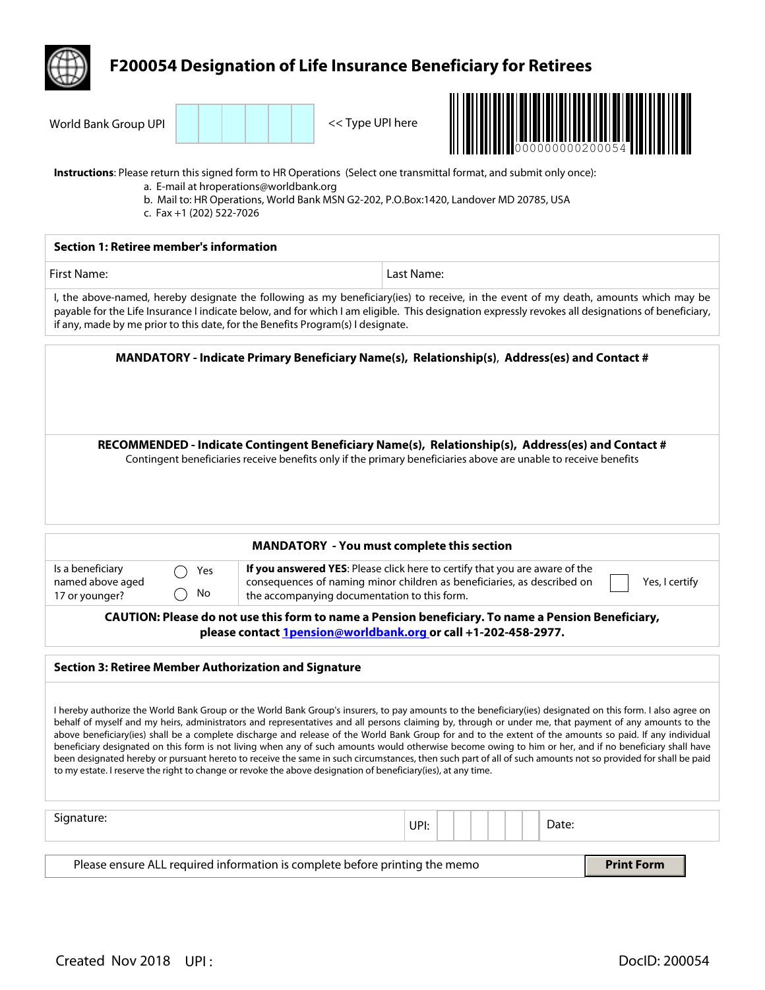|                                                                                                                                                                                                                                                                                                                                                                                                                                                                                                                                                                                                                                                                                                                                                                                                                                                                                                                               | <b>F200054 Designation of Life Insurance Beneficiary for Retirees</b>                                                                                                                                                    |            |  |       |  |
|-------------------------------------------------------------------------------------------------------------------------------------------------------------------------------------------------------------------------------------------------------------------------------------------------------------------------------------------------------------------------------------------------------------------------------------------------------------------------------------------------------------------------------------------------------------------------------------------------------------------------------------------------------------------------------------------------------------------------------------------------------------------------------------------------------------------------------------------------------------------------------------------------------------------------------|--------------------------------------------------------------------------------------------------------------------------------------------------------------------------------------------------------------------------|------------|--|-------|--|
| 000000000200054                                                                                                                                                                                                                                                                                                                                                                                                                                                                                                                                                                                                                                                                                                                                                                                                                                                                                                               |                                                                                                                                                                                                                          |            |  |       |  |
| World Bank Group UPI                                                                                                                                                                                                                                                                                                                                                                                                                                                                                                                                                                                                                                                                                                                                                                                                                                                                                                          | << Type UPI here                                                                                                                                                                                                         |            |  |       |  |
| Instructions: Please return this signed form to HR Operations (Select one transmittal format, and submit only once):<br>c. Fax +1 (202) 522-7026                                                                                                                                                                                                                                                                                                                                                                                                                                                                                                                                                                                                                                                                                                                                                                              | a. E-mail at hroperations@worldbank.org<br>b. Mail to: HR Operations, World Bank MSN G2-202, P.O.Box:1420, Landover MD 20785, USA                                                                                        |            |  |       |  |
| <b>Section 1: Retiree member's information</b>                                                                                                                                                                                                                                                                                                                                                                                                                                                                                                                                                                                                                                                                                                                                                                                                                                                                                |                                                                                                                                                                                                                          |            |  |       |  |
| <b>First Name:</b>                                                                                                                                                                                                                                                                                                                                                                                                                                                                                                                                                                                                                                                                                                                                                                                                                                                                                                            |                                                                                                                                                                                                                          | Last Name: |  |       |  |
| I, the above-named, hereby designate the following as my beneficiary(ies) to receive, in the event of my death, amounts which may be<br>payable for the Life Insurance I indicate below, and for which I am eligible. This designation expressly revokes all designations of beneficiary,<br>if any, made by me prior to this date, for the Benefits Program(s) I designate.                                                                                                                                                                                                                                                                                                                                                                                                                                                                                                                                                  |                                                                                                                                                                                                                          |            |  |       |  |
| MANDATORY - Indicate Primary Beneficiary Name(s), Relationship(s), Address(es) and Contact #                                                                                                                                                                                                                                                                                                                                                                                                                                                                                                                                                                                                                                                                                                                                                                                                                                  |                                                                                                                                                                                                                          |            |  |       |  |
|                                                                                                                                                                                                                                                                                                                                                                                                                                                                                                                                                                                                                                                                                                                                                                                                                                                                                                                               | Contingent beneficiaries receive benefits only if the primary beneficiaries above are unable to receive benefits                                                                                                         |            |  |       |  |
| <b>MANDATORY - You must complete this section</b>                                                                                                                                                                                                                                                                                                                                                                                                                                                                                                                                                                                                                                                                                                                                                                                                                                                                             |                                                                                                                                                                                                                          |            |  |       |  |
| Is a beneficiary<br>Yes<br>named above aged<br>No<br>17 or younger?                                                                                                                                                                                                                                                                                                                                                                                                                                                                                                                                                                                                                                                                                                                                                                                                                                                           | If you answered YES: Please click here to certify that you are aware of the<br>consequences of naming minor children as beneficiaries, as described on<br>Yes, I certify<br>the accompanying documentation to this form. |            |  |       |  |
| CAUTION: Please do not use this form to name a Pension beneficiary. To name a Pension Beneficiary,<br>please contact 1pension@worldbank.org or call +1-202-458-2977.                                                                                                                                                                                                                                                                                                                                                                                                                                                                                                                                                                                                                                                                                                                                                          |                                                                                                                                                                                                                          |            |  |       |  |
| <b>Section 3: Retiree Member Authorization and Signature</b>                                                                                                                                                                                                                                                                                                                                                                                                                                                                                                                                                                                                                                                                                                                                                                                                                                                                  |                                                                                                                                                                                                                          |            |  |       |  |
| I hereby authorize the World Bank Group or the World Bank Group's insurers, to pay amounts to the beneficiary(ies) designated on this form. I also agree on<br>behalf of myself and my heirs, administrators and representatives and all persons claiming by, through or under me, that payment of any amounts to the<br>above beneficiary(ies) shall be a complete discharge and release of the World Bank Group for and to the extent of the amounts so paid. If any individual<br>beneficiary designated on this form is not living when any of such amounts would otherwise become owing to him or her, and if no beneficiary shall have<br>been designated hereby or pursuant hereto to receive the same in such circumstances, then such part of all of such amounts not so provided for shall be paid<br>to my estate. I reserve the right to change or revoke the above designation of beneficiary(ies), at any time. |                                                                                                                                                                                                                          |            |  |       |  |
| Signature:                                                                                                                                                                                                                                                                                                                                                                                                                                                                                                                                                                                                                                                                                                                                                                                                                                                                                                                    |                                                                                                                                                                                                                          | UPI:       |  | Date: |  |
| Please ensure ALL required information is complete before printing the memo<br><b>Print Form</b>                                                                                                                                                                                                                                                                                                                                                                                                                                                                                                                                                                                                                                                                                                                                                                                                                              |                                                                                                                                                                                                                          |            |  |       |  |
|                                                                                                                                                                                                                                                                                                                                                                                                                                                                                                                                                                                                                                                                                                                                                                                                                                                                                                                               |                                                                                                                                                                                                                          |            |  |       |  |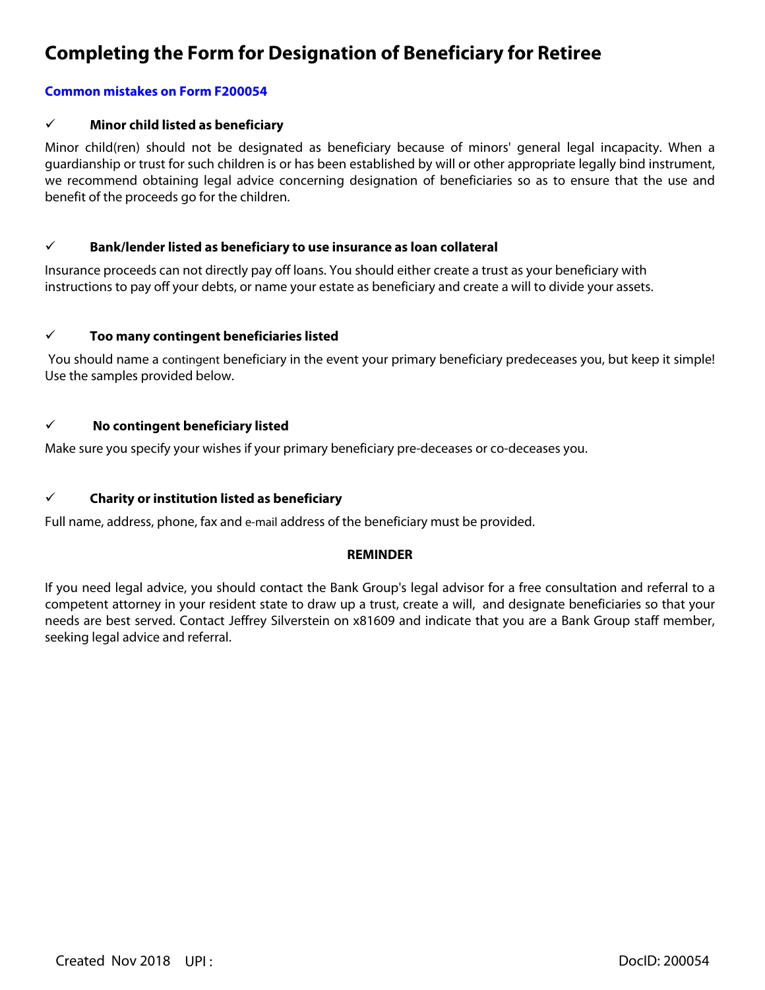# **Completing the Form for Designation of Beneficiary for Retiree**

# **Common mistakes on Form F200054**

# ¸ **Minor child listed as beneficiary**

Minor child(ren) should not be designated as beneficiary because of minors' general legal incapacity. When a guardianship or trust for such children is or has been established by will or other appropriate legally bind instrument, we recommend obtaining legal advice concerning designation of beneficiaries so as to ensure that the use and benefit of the proceeds go for the children.

### ¸ **Bank/lender listed as beneficiary to use insurance as loan collateral**

Insurance proceeds can not directly pay off loans. You should either create a trust as your beneficiary with instructions to pay off your debts, or name your estate as beneficiary and create a will to divide your assets.

### ¸ **Too many contingent beneficiaries listed**

You should name a contingent beneficiary in the event your primary beneficiary predeceases you, but keep it simple! Use the samples provided below.

### ¸ **No contingent beneficiary listed**

Make sure you specify your wishes if your primary beneficiary pre-deceases or co-deceases you.

# ¸ **Charity or institution listed as beneficiary**

Full name, address, phone, fax and e-mail address of the beneficiary must be provided.

### **REMINDER**

If you need legal advice, you should contact the Bank Group's legal advisor for a free consultation and referral to a competent attorney in your resident state to draw up a trust, create a will, and designate beneficiaries so that your needs are best served. Contact Jeffrey Silverstein on x81609 and indicate that you are a Bank Group staff member, seeking legal advice and referral.